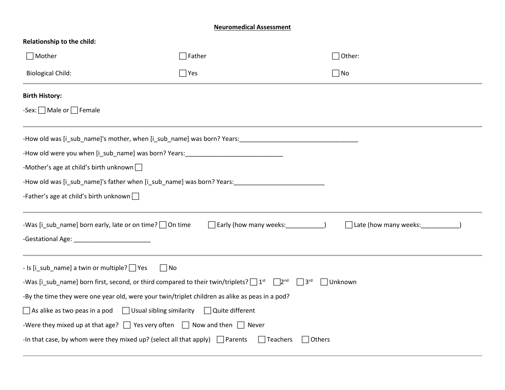#### **Neuromedical Assessment**

| Relationship to the child:                                                                                                                           |                                        |                                  |  |
|------------------------------------------------------------------------------------------------------------------------------------------------------|----------------------------------------|----------------------------------|--|
| $\Box$ Mother                                                                                                                                        | $\sqrt{\frac{1}{1}}$ Father            | $\bigcap$ Other:                 |  |
| <b>Biological Child:</b>                                                                                                                             | $\Box$ Yes<br>$\Box$ No                |                                  |  |
| <b>Birth History:</b>                                                                                                                                |                                        |                                  |  |
| -Sex: $\Box$ Male or $\Box$ Female                                                                                                                   |                                        |                                  |  |
|                                                                                                                                                      |                                        |                                  |  |
| -How old were you when [i_sub_name] was born? Years:____________________________                                                                     |                                        |                                  |  |
| -Mother's age at child's birth unknown $\Box$                                                                                                        |                                        |                                  |  |
| -How old was [i_sub_name]'s father when [i_sub_name] was born? Years:_______________________________                                                 |                                        |                                  |  |
| -Father's age at child's birth unknown $\Box$                                                                                                        |                                        |                                  |  |
| -Was [i_sub_name] born early, late or on time? $\Box$ On time                                                                                        | Early (how many weeks: ______________) | Late (how many weeks: __________ |  |
|                                                                                                                                                      |                                        |                                  |  |
| - Is [i_sub_name] a twin or multiple?   Yes<br>$\Box$ No                                                                                             |                                        |                                  |  |
| -Was [i_sub_name] born first, second, or third compared to their twin/triplets? $\Box$ 1 <sup>st</sup> $\Box$ 2 <sup>nd</sup> $\Box$ 3 <sup>rd</sup> |                                        | $\Box$ Unknown                   |  |
| -By the time they were one year old, were your twin/triplet children as alike as peas in a pod?                                                      |                                        |                                  |  |
| $\Box$ As alike as two peas in a pod $\Box$ Usual sibling similarity $\Box$ Quite different                                                          |                                        |                                  |  |
| -Were they mixed up at that age? $\Box$ Yes very often $\Box$ Now and then $\Box$ Never                                                              |                                        |                                  |  |
| -In that case, by whom were they mixed up? (select all that apply) $\Box$ Parents                                                                    | $\Box$ Teachers<br>Others              |                                  |  |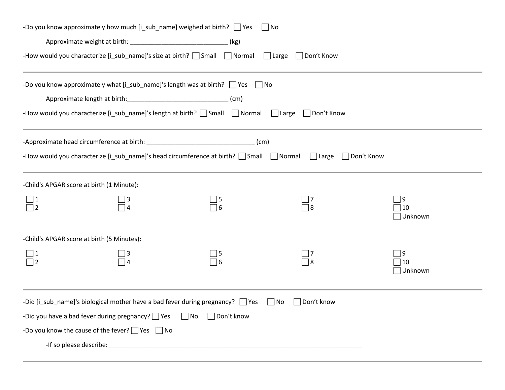|                                  |                                                                                                                     | -Do you know approximately how much $[i$ _sub_name] weighed at birth? $\Box$ Yes                                 | $\Box$ No                  |                                      |
|----------------------------------|---------------------------------------------------------------------------------------------------------------------|------------------------------------------------------------------------------------------------------------------|----------------------------|--------------------------------------|
|                                  | Approximate weight at birth: __________________________________(kg)                                                 |                                                                                                                  |                            |                                      |
|                                  |                                                                                                                     | -How would you characterize [i_sub_name]'s size at birth? Small Normal I Large Don't Know                        |                            |                                      |
|                                  | Approximate length at birth: ___________________________________(cm)                                                | -Do you know approximately what [i_sub_name]'s length was at birth? $\Box$ Yes $\Box$ No                         |                            |                                      |
|                                  |                                                                                                                     | -How would you characterize [i_sub_name]'s length at birth? [ ] Small [ ] Normal [ ] Large                       | $\Box$ Don't Know          |                                      |
|                                  |                                                                                                                     | -How would you characterize [i_sub_name]'s head circumference at birth? $\Box$ Small $\Box$ Normal $\Box$ Large  |                            | □ Don't Know                         |
|                                  | -Child's APGAR score at birth (1 Minute):                                                                           |                                                                                                                  |                            |                                      |
| $\frac{1}{\square}$ <sup>1</sup> |                                                                                                                     | $\Box$ 5<br>$\overline{\Box}$ 6                                                                                  | $\overline{\mathcal{A}}$ 8 | 9<br>  10<br>Unknown                 |
|                                  | -Child's APGAR score at birth (5 Minutes):                                                                          |                                                                                                                  |                            |                                      |
| $\bigsqcup 1$                    |                                                                                                                     | $\Box$ 5<br>$\overline{\phantom{0}}$ 6                                                                           |                            | $ 9\rangle$<br>10<br><b>□Unknown</b> |
|                                  | -Did you have a bad fever during pregnancy? $\Box$ Yes<br>-Do you know the cause of the fever? $\Box$ Yes $\Box$ No | -Did [i_sub_name]'s biological mother have a bad fever during pregnancy? $\Box$ Yes<br>□ Don't know<br>$\Box$ No | Oon't know⊓<br>  No        |                                      |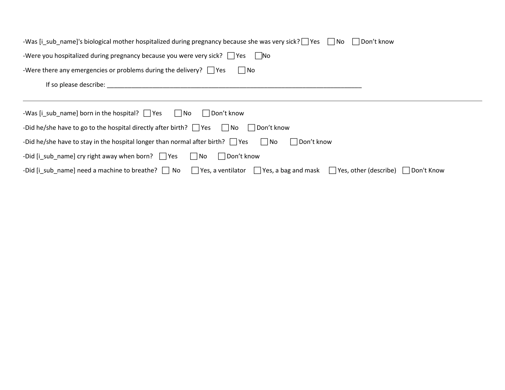| -Was [i sub name]'s biological mother hospitalized during pregnancy because she was very sick? Tes Tho Then't know                                                                                                            |
|-------------------------------------------------------------------------------------------------------------------------------------------------------------------------------------------------------------------------------|
| -Were you hospitalized during pregnancy because you were very sick? $\Box$ Yes $\Box$ No                                                                                                                                      |
| -Were there any emergencies or problems during the delivery? $\Box$ Yes<br>$\Box$ No                                                                                                                                          |
| If so please describe: and the state of the state of the state of the state of the state of the state of the state of the state of the state of the state of the state of the state of the state of the state of the state of |
|                                                                                                                                                                                                                               |
| -Was [i sub name] born in the hospital? $\Box$ Yes $\Box$ No<br>□ Don't know                                                                                                                                                  |
| -Did he/she have to go to the hospital directly after birth? $\Box$ Yes $\Box$ No $\Box$ Don't know                                                                                                                           |
| -Did he/she have to stay in the hospital longer than normal after birth? $\Box$ Yes $\Box$ No<br>  Don't know                                                                                                                 |
| -Did [i sub name] cry right away when born? $\Box$ Yes $\Box$ No<br>    Don't know                                                                                                                                            |
| -Did [i_sub_name] need a machine to breathe? $\Box$ No $\Box$ Yes, a ventilator $\Box$ Yes, a bag and mask $\Box$ Yes, other (describe) $\Box$ Don't Know                                                                     |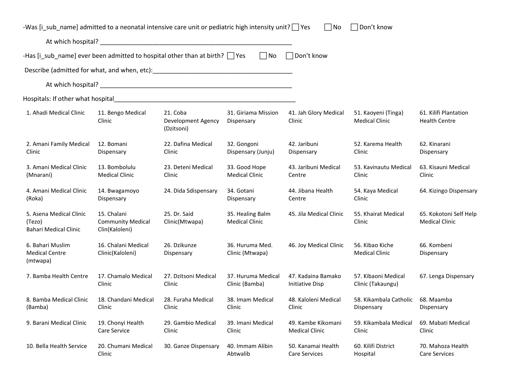| -Was [i_sub_name] admitted to a neonatal intensive care unit or pediatric high intensity unit?   Yes |                                                           |                                                                                                                      |                                           | ∣No                                          | $\Box$ Don't know                            |                                                 |
|------------------------------------------------------------------------------------------------------|-----------------------------------------------------------|----------------------------------------------------------------------------------------------------------------------|-------------------------------------------|----------------------------------------------|----------------------------------------------|-------------------------------------------------|
|                                                                                                      |                                                           |                                                                                                                      |                                           |                                              |                                              |                                                 |
| -Has [i_sub_name] ever been admitted to hospital other than at birth? $\Box$ Yes                     |                                                           |                                                                                                                      | $\Box$ No                                 | □ Don't know                                 |                                              |                                                 |
| Describe (admitted for what, and when, etc): https://www.com/www.com/www.com/www.com/                |                                                           |                                                                                                                      |                                           |                                              |                                              |                                                 |
|                                                                                                      |                                                           |                                                                                                                      |                                           |                                              |                                              |                                                 |
| Hospitals: If other what hospital                                                                    |                                                           | <u> 2000 - 2000 - 2000 - 2000 - 2000 - 2000 - 2000 - 2000 - 2000 - 2000 - 2000 - 2000 - 2000 - 2000 - 2000 - 200</u> |                                           |                                              |                                              |                                                 |
| 1. Ahadi Medical Clinic                                                                              | 11. Bengo Medical<br>Clinic                               | 21. Coba<br>Development Agency<br>(Dzitsoni)                                                                         | 31. Giriama Mission<br>Dispensary         | 41. Jah Glory Medical<br>Clinic              | 51. Kaoyeni (Tinga)<br><b>Medical Clinic</b> | 61. Kilifi Plantation<br><b>Health Centre</b>   |
| 2. Amani Family Medical<br>Clinic                                                                    | 12. Bomani<br>Dispensary                                  | 22. Dafina Medical<br>Clinic                                                                                         | 32. Gongoni<br>Dispensary (Junju)         | 42. Jaribuni<br>Dispensary                   | 52. Karema Health<br>Clinic                  | 62. Kinarani<br>Dispensary                      |
| 3. Amani Medical Clinic<br>(Mnarani)                                                                 | 13. Bombolulu<br><b>Medical Clinic</b>                    | 23. Deteni Medical<br>Clinic                                                                                         | 33. Good Hope<br><b>Medical Clinic</b>    | 43. Jaribuni Medical<br>Centre               | 53. Kavinautu Medical<br>Clinic              | 63. Kisauni Medical<br>Clinic                   |
| 4. Amani Medical Clinic<br>(Roka)                                                                    | 14. Bwagamoyo<br>Dispensary                               | 24. Dida Sdispensary                                                                                                 | 34. Gotani<br>Dispensary                  | 44. Jibana Health<br>Centre                  | 54. Kaya Medical<br>Clinic                   | 64. Kizingo Dispensary                          |
| 5. Asena Medical Clinic<br>(Tezo)<br><b>Bahari Medical Clinic</b>                                    | 15. Chalani<br><b>Community Medical</b><br>Clin(Kaloleni) | 25. Dr. Said<br>Clinic(Mtwapa)                                                                                       | 35. Healing Balm<br><b>Medical Clinic</b> | 45. Jila Medical Clinic                      | 55. Khairat Medical<br>Clinic                | 65. Kokotoni Self Help<br><b>Medical Clinic</b> |
| 6. Bahari Muslim<br><b>Medical Centre</b><br>(mtwapa)                                                | 16. Chalani Medical<br>Clinic(Kaloleni)                   | 26. Dzikunze<br>Dispensary                                                                                           | 36. Huruma Med.<br>Clinic (Mtwapa)        | 46. Joy Medical Clinic                       | 56. Kibao Kiche<br><b>Medical Clinic</b>     | 66. Kombeni<br>Dispensary                       |
| 7. Bamba Health Centre                                                                               | 17. Chamalo Medical<br>Clinic                             | 27. Dzitsoni Medical<br>Clinic                                                                                       | 37. Huruma Medical<br>Clinic (Bamba)      | 47. Kadaina Bamako<br><b>Initiative Disp</b> | 57. Kibaoni Medical<br>Clinic (Takaungu)     | 67. Lenga Dispensary                            |
| 8. Bamba Medical Clinic<br>(Bamba)                                                                   | 18. Chandani Medical<br>Clinic                            | 28. Furaha Medical<br>Clinic                                                                                         | 38. Imam Medical<br>Clinic                | 48. Kaloleni Medical<br>Clinic               | 58. Kikambala Catholic<br>Dispensary         | 68. Maamba<br>Dispensary                        |
| 9. Barani Medical Clinic                                                                             | 19. Chonyi Health<br>Care Service                         | 29. Gambio Medical<br>Clinic                                                                                         | 39. Imani Medical<br>Clinic               | 49. Kambe Kikomani<br><b>Medical Clinic</b>  | 59. Kikambala Medical<br>Clinic              | 69. Mabati Medical<br>Clinic                    |
| 10. Bella Health Service                                                                             | 20. Chumani Medical<br>Clinic                             | 30. Ganze Dispensary                                                                                                 | 40. Immam Alibin<br>Abtwalib              | 50. Kanamai Health<br><b>Care Services</b>   | 60. Kilifi District<br>Hospital              | 70. Mahoza Health<br><b>Care Services</b>       |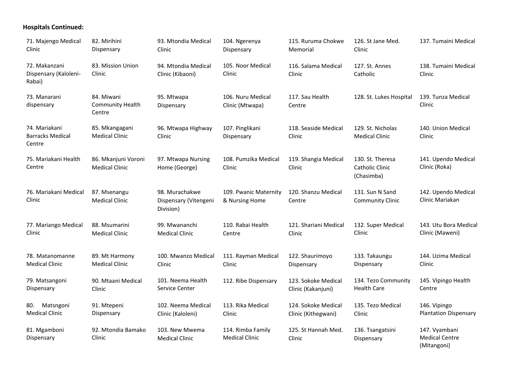## **Hospitals Continued:**

| 71. Majengo Medical<br>Clinic                      | 82. Mirihini<br>Dispensary                      | 93. Mtondia Medical<br>Clinic                        | 104. Ngerenya<br>Dispensary                | 115. Ruruma Chokwe<br>Memorial             | 126. St Jane Med.<br>Clinic                              | 137. Tumaini Medical                                  |
|----------------------------------------------------|-------------------------------------------------|------------------------------------------------------|--------------------------------------------|--------------------------------------------|----------------------------------------------------------|-------------------------------------------------------|
| 72. Makanzani<br>Dispensary (Kaloleni-<br>Rabai)   | 83. Mission Union<br>Clinic                     | 94. Mtondia Medical<br>Clinic (Kibaoni)              | 105. Noor Medical<br>Clinic                | 116. Salama Medical<br>Clinic              | 127. St. Annes<br>Catholic                               | 138. Tumaini Medical<br>Clinic                        |
| 73. Manarani<br>dispensary                         | 84. Miwani<br><b>Community Health</b><br>Centre | 95. Mtwapa<br>Dispensary                             | 106. Nuru Medical<br>Clinic (Mtwapa)       | 117. Sau Health<br>Centre                  | 128. St. Lukes Hospital                                  | 139. Tunza Medical<br>Clinic                          |
| 74. Mariakani<br><b>Barracks Medical</b><br>Centre | 85. Mkangagani<br><b>Medical Clinic</b>         | 96. Mtwapa Highway<br>Clinic                         | 107. Pinglikani<br>Dispensary              | 118. Seaside Medical<br>Clinic             | 129. St. Nicholas<br><b>Medical Clinic</b>               | 140. Union Medical<br>Clinic                          |
| 75. Mariakani Health<br>Centre                     | 86. Mkanjuni Voroni<br><b>Medical Clinic</b>    | 97. Mtwapa Nursing<br>Home (George)                  | 108. Pumzika Medical<br>Clinic             | 119. Shangia Medical<br>Clinic             | 130. St. Theresa<br><b>Catholic Clinic</b><br>(Chasimba) | 141. Upendo Medical<br>Clinic (Roka)                  |
| 76. Mariakani Medical<br>Clinic                    | 87. Msenangu<br><b>Medical Clinic</b>           | 98. Murachakwe<br>Dispensary (Vitengeni<br>Division) | 109. Pwanic Maternity<br>& Nursing Home    | 120. Shanzu Medical<br>Centre              | 131. Sun N Sand<br><b>Community Clinic</b>               | 142. Upendo Medical<br>Clinic Mariakan                |
| 77. Mariango Medical<br>Clinic                     | 88. Msumarini<br><b>Medical Clinic</b>          | 99. Mwananchi<br><b>Medical Clinic</b>               | 110. Rabai Health<br>Centre                | 121. Shariani Medical<br>Clinic            | 132. Super Medical<br>Clinic                             | 143. Utu Bora Medical<br>Clinic (Maweni)              |
| 78. Matanomanne<br><b>Medical Clinic</b>           | 89. Mt Harmony<br><b>Medical Clinic</b>         | 100. Mwanzo Medical<br>Clinic                        | 111. Rayman Medical<br>Clinic              | 122. Shaurimoyo<br>Dispensary              | 133. Takaungu<br>Dispensary                              | 144. Uzima Medical<br>Clinic                          |
| 79. Matsangoni<br>Dispensary                       | 90. Mtaani Medical<br>Clinic                    | 101. Neema Health<br>Service Center                  | 112. Ribe Dispensary                       | 123. Sokoke Medical<br>Clinic (Kakanjuni)  | 134. Tezo Community<br><b>Health Care</b>                | 145. Vipingo Health<br>Centre                         |
| 80. Matsngoni<br><b>Medical Clinic</b>             | 91. Mtepeni<br>Dispensary                       | 102. Neema Medical<br>Clinic (Kaloleni)              | 113. Rika Medical<br>Clinic                | 124. Sokoke Medical<br>Clinic (Kithegwani) | 135. Tezo Medical<br>Clinic                              | 146. Vipingo<br><b>Plantation Dispensary</b>          |
| 81. Mgamboni<br>Dispensary                         | 92. Mtondia Bamako<br>Clinic                    | 103. New Mwema<br><b>Medical Clinic</b>              | 114. Rimba Family<br><b>Medical Clinic</b> | 125. St Hannah Med.<br>Clinic              | 136. Tsangatsini<br>Dispensary                           | 147. Vyambani<br><b>Medical Centre</b><br>(Mitangoni) |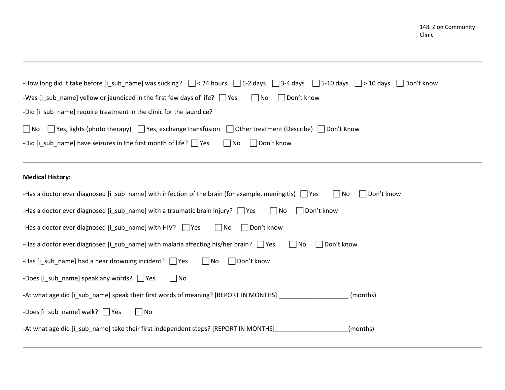| -How long did it take before [i_sub_name] was sucking? $\Box$ < 24 hours $\Box$ 1-2 days $\Box$ 3-4 days $\Box$ 5-10 days $\Box$ > 10 days $\Box$ Don't know<br>$\Box$ Don't know<br>-Was [i_sub_name] yellow or jaundiced in the first few days of life? $\Box$ Yes<br>$\Box$ No<br>-Did [i_sub_name] require treatment in the clinic for the jaundice? |
|----------------------------------------------------------------------------------------------------------------------------------------------------------------------------------------------------------------------------------------------------------------------------------------------------------------------------------------------------------|
| $\Box$ Yes, lights (photo therapy) $\Box$ Yes, exchange transfusion $\Box$ Other treatment (Describe) $\Box$ Don't Know<br>$\Box$ No                                                                                                                                                                                                                     |
| -Did [i_sub_name] have seizures in the first month of life? $\Box$ Yes<br>$\Box$ Don't know<br>$\Box$ No                                                                                                                                                                                                                                                 |
| <b>Medical History:</b>                                                                                                                                                                                                                                                                                                                                  |
| $\Box$ Don't know<br>-Has a doctor ever diagnosed [i_sub_name] with infection of the brain (for example, meningitis) $\Box$ Yes<br>$\Box$ No                                                                                                                                                                                                             |
| $\Box$ Don't know<br>-Has a doctor ever diagnosed [i_sub_name] with a traumatic brain injury? $\Box$ Yes<br>$\Box$ No                                                                                                                                                                                                                                    |
| $\Box$ No<br>$\Box$ Don't know<br>-Has a doctor ever diagnosed $[i$ sub name] with HIV? $\Box$ Yes                                                                                                                                                                                                                                                       |
| Don't know<br>-Has a doctor ever diagnosed $[i$ sub name] with malaria affecting his/her brain? $\Box$ Yes<br>$\Box$ No                                                                                                                                                                                                                                  |
| -Has [i_sub_name] had a near drowning incident? $\Box$ Yes<br>$\Box$ Don't know<br>$\Box$ No                                                                                                                                                                                                                                                             |
| $\Box$ No<br>-Does [i_sub_name] speak any words? $\Box$ Yes                                                                                                                                                                                                                                                                                              |
| -At what age did [i_sub_name] speak their first words of meaning? [REPORT IN MONTHS] _<br>(months)                                                                                                                                                                                                                                                       |
| -Does [i_sub_name] walk? $\Box$ Yes<br>$\Box$ No                                                                                                                                                                                                                                                                                                         |
| -At what age did [i_sub_name] take their first independent steps? [REPORT IN MONTHS]<br>(months)                                                                                                                                                                                                                                                         |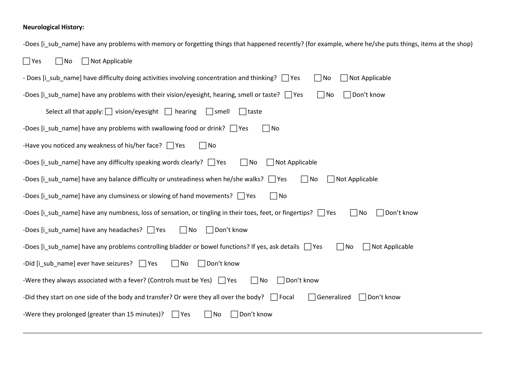### **Neurological History:**

| -Does [i_sub_name] have any problems with memory or forgetting things that happened recently? (for example, where he/she puts things, items at the shop) |
|----------------------------------------------------------------------------------------------------------------------------------------------------------|
| $\Box$ Yes<br>$\Box$ Not Applicable<br>$\Box$ No                                                                                                         |
| Not Applicable<br>- Does [i_sub_name] have difficulty doing activities involving concentration and thinking? $\Box$ Yes<br>$\Box$ No                     |
| $\Box$ No<br>Don't know<br>-Does [i_sub_name] have any problems with their vision/eyesight, hearing, smell or taste? $\Box$ Yes                          |
| Select all that apply: $\Box$ vision/eyesight $\Box$ hearing<br>$\vert$   smell<br>  taste                                                               |
| -Does [i_sub_name] have any problems with swallowing food or drink? $\Box$ Yes<br>$\Box$ No                                                              |
| -Have you noticed any weakness of his/her face? $\Box$ Yes<br>$\Box$ No                                                                                  |
| -Does [i_sub_name] have any difficulty speaking words clearly? $\Box$ Yes<br>$\Box$ No<br>Not Applicable                                                 |
| -Does [i_sub_name] have any balance difficulty or unsteadiness when he/she walks? $\Box$ Yes<br>$\Box$ No<br>$\Box$ Not Applicable                       |
| -Does [i_sub_name] have any clumsiness or slowing of hand movements? $\Box$ Yes<br>$\Box$ No                                                             |
| $\Box$ Don't know<br>-Does [i_sub_name] have any numbness, loss of sensation, or tingling in their toes, feet, or fingertips? $\Box$ Yes<br>$\Box$ No    |
| -Does [i_sub_name] have any headaches? $\Box$ Yes<br>$\Box$ No<br>$\Box$ Don't know                                                                      |
| $\Box$ Not Applicable<br>-Does [i_sub_name] have any problems controlling bladder or bowel functions? If yes, ask details $\Box$ Yes<br>$\Box$ No        |
| -Did [i_sub_name] ever have seizures? $\Box$ Yes<br>$\Box$ Don't know<br>$\Box$ No                                                                       |
| -Were they always associated with a fever? (Controls must be Yes) $\Box$ Yes<br>Don't know<br>$\Box$ No                                                  |
| -Did they start on one side of the body and transfer? Or were they all over the body? $\Box$ Focal<br>$\Box$ Generalized<br>$\Box$ Don't know            |
| -Were they prolonged (greater than 15 minutes)?<br>Don't know<br>$\Box$ No<br>$\Box$ Yes                                                                 |
|                                                                                                                                                          |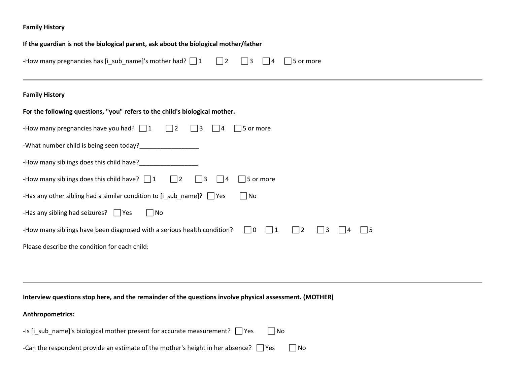### **Family History**

| If the guardian is not the biological parent, ask about the biological mother/father                                                               |
|----------------------------------------------------------------------------------------------------------------------------------------------------|
| -How many pregnancies has [i_sub_name]'s mother had? $\Box$ 1<br>$\Box$ 2<br>$\Box$ 3<br>$\Box$ 5 or more<br>$\vert$ $\vert$ 4                     |
| <b>Family History</b>                                                                                                                              |
| For the following questions, "you" refers to the child's biological mother.                                                                        |
| -How many pregnancies have you had? $\Box$ 1 $\Box$ 2<br>$\Box$ 3<br>$\Box$ 5 or more<br>$\vert$  4                                                |
|                                                                                                                                                    |
| -How many siblings does this child have?________________                                                                                           |
| -How many siblings does this child have? $\Box$ 1 $\Box$ 2<br>$\Box$ 3<br>$\Box$ 5 or more<br>$\Box$ 4                                             |
| $\Box$ No<br>-Has any other sibling had a similar condition to $[i\_sub\_name]$ ? $\Box$ Yes                                                       |
| -Has any sibling had seizures? $\Box$ Yes<br>$\Box$ No                                                                                             |
| -How many siblings have been diagnosed with a serious health condition?<br>$\Box$ 0<br>$\Box$ 1<br>$\Box$ 2<br>$\Box$ 3<br>$\vert$   5<br>$\Box$ 4 |
| Please describe the condition for each child:                                                                                                      |
|                                                                                                                                                    |
|                                                                                                                                                    |
| Interview questions stop here, and the remainder of the questions involve physical assessment. (MOTHER)                                            |
| Anthropometrics:                                                                                                                                   |

| -Is [i sub name]'s biological mother present for accurate measurement? $\Box$ Yes         | l INo |           |
|-------------------------------------------------------------------------------------------|-------|-----------|
| -Can the respondent provide an estimate of the mother's height in her absence? $\Box$ Yes |       | $\Box$ No |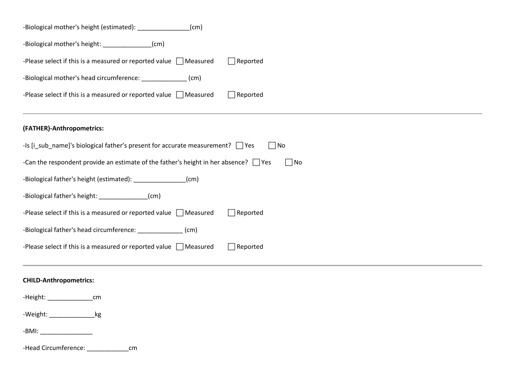| -Biological mother's height (estimated): ________________<br>(cm)                                      |
|--------------------------------------------------------------------------------------------------------|
| -Biological mother's height: _______________(cm)                                                       |
| -Please select if this is a measured or reported value $\Box$ Measured<br>$\Box$ Reported              |
| -Biological mother's head circumference: _______________(cm)                                           |
| -Please select if this is a measured or reported value $\Box$ Measured<br>$\Box$ Reported              |
| (FATHER)-Anthropometrics:                                                                              |
| -Is [i_sub_name]'s biological father's present for accurate measurement? Thes<br>$\Box$ No             |
| -Can the respondent provide an estimate of the father's height in her absence? $\Box$ Yes<br>$\Box$ No |
| -Biological father's height (estimated): ________________(cm)                                          |
| -Biological father's height: ______________(cm)                                                        |
| -Please select if this is a measured or reported value $\Box$ Measured<br>$\Box$ Reported              |
| -Biological father's head circumference: ______________ (cm)                                           |
| -Please select if this is a measured or reported value $\Box$ Measured<br>$\Box$ Reported              |
| <b>CHILD-Anthropometrics:</b>                                                                          |
| -Height: _______________<br>cm                                                                         |
| -Weight: ____________________kg                                                                        |
|                                                                                                        |
| -Head Circumference: ________________cm                                                                |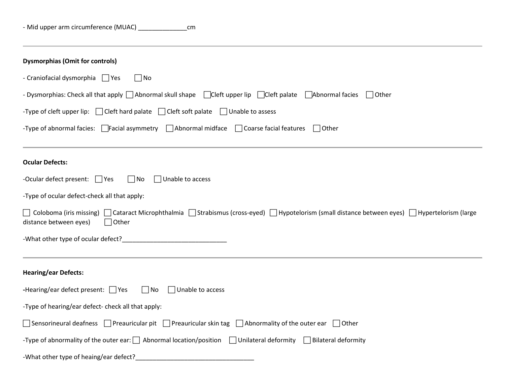| <b>Dysmorphias (Omit for controls)</b>                                                                                                                                                      |
|---------------------------------------------------------------------------------------------------------------------------------------------------------------------------------------------|
| - Craniofacial dysmorphia 9 Yes<br>$\vert$ $\vert$ No                                                                                                                                       |
| - Dysmorphias: Check all that apply   Abnormal skull shape   Cleft upper lip   Cleft palate   Abnormal facies   Other                                                                       |
| -Type of cleft upper lip: $\Box$ Cleft hard palate $\Box$ Cleft soft palate $\Box$ Unable to assess                                                                                         |
| -Type of abnormal facies: $\Box$ Facial asymmetry $\Box$ Abnormal midface $\Box$ Coarse facial features<br>$\Box$ Other                                                                     |
| <b>Ocular Defects:</b>                                                                                                                                                                      |
| -Ocular defect present: $\Box$ Yes<br>$\Box$ Unable to access<br>$\Box$ No                                                                                                                  |
| -Type of ocular defect-check all that apply:                                                                                                                                                |
| □ Coloboma (iris missing) □ Cataract Microphthalmia □ Strabismus (cross-eyed) □ Hypotelorism (small distance between eyes) □ Hypertelorism (large<br>$\Box$ Other<br>distance between eyes) |
|                                                                                                                                                                                             |
| <b>Hearing/ear Defects:</b>                                                                                                                                                                 |
| -Hearing/ear defect present: $\Box$ Yes $\Box$ No<br>$\Box$ Unable to access                                                                                                                |
| -Type of hearing/ear defect- check all that apply:                                                                                                                                          |
| Sensorineural deafness $\Box$ Preauricular pit $\Box$ Preauricular skin tag $\Box$ Abnormality of the outer ear $\Box$ Other                                                                |
| -Type of abnormality of the outer ear: $\Box$ Abnormal location/position<br>$\Box$ Unilateral deformity<br>Bilateral deformity                                                              |
| -What other type of heaing/ear defect?                                                                                                                                                      |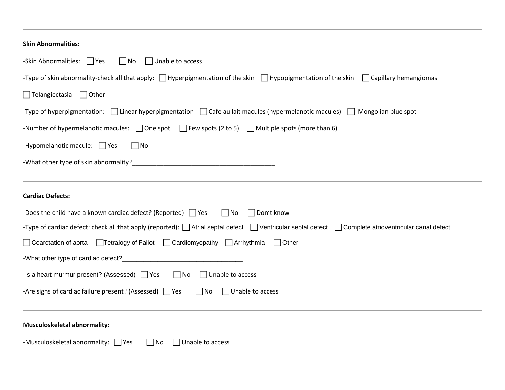| <b>Skin Abnormalities:</b>                                                                                                                                           |
|----------------------------------------------------------------------------------------------------------------------------------------------------------------------|
| -Skin Abnormalities: 7 Yes<br>$\Box$ Unable to access<br>$\Box$ No                                                                                                   |
| -Type of skin abnormality-check all that apply: $\Box$ Hyperpigmentation of the skin $\Box$ Hypopigmentation of the skin<br>$\Box$ Capillary hemangiomas             |
| $\Box$ Telangiectasia<br>$\Box$ Other                                                                                                                                |
| -Type of hyperpigmentation: $\Box$ Linear hyperpigmentation $\Box$ Cafe au lait macules (hypermelanotic macules) $\Box$ Mongolian blue spot                          |
| -Number of hypermelanotic macules: $\Box$ One spot $\Box$ Few spots (2 to 5) $\Box$ Multiple spots (more than 6)                                                     |
| -Hypomelanotic macule: $\Box$ Yes<br>$\Box$ No                                                                                                                       |
|                                                                                                                                                                      |
| <b>Cardiac Defects:</b>                                                                                                                                              |
| -Does the child have a known cardiac defect? (Reported) $\Box$ Yes<br>$\Box$ No<br>$\Box$ Don't know                                                                 |
| -Type of cardiac defect: check all that apply (reported): $\Box$ Atrial septal defect $\Box$ Ventricular septal defect $\Box$ Complete atrioventricular canal defect |
| ◯ Coarctation of aorta │ Tetralogy of Fallot │ Cardiomyopathy │ Arrhythmia<br>$\Box$ Other                                                                           |
| -What other type of cardiac defect?_______________                                                                                                                   |
| -Is a heart murmur present? (Assessed) $\Box$ Yes<br>$\Box$ No<br>$\Box$ Unable to access                                                                            |
| -Are signs of cardiac failure present? (Assessed)   Yes<br>$\Box$ No<br>$\Box$ Unable to access                                                                      |
| <b>Musculoskeletal abnormality:</b>                                                                                                                                  |
| -Musculoskeletal abnormality: Ves<br>$\Box$ Unable to access<br>$\Box$ No                                                                                            |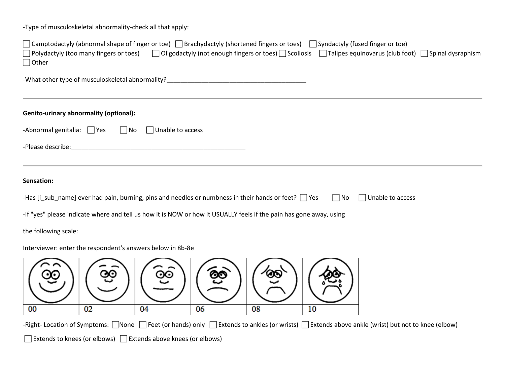-Type of musculoskeletal abnormality-check all that apply:

| $\Box$ Camptodactyly (abnormal shape of finger or toe) $\Box$ Brachydactyly (shortened fingers or toes) $\Box$ Syndactyly (fused finger or toe)<br>$\Box$ Polydactyly (too many fingers or toes) $\Box$ Oligodactyly (not enough fingers or toes) $\Box$ Scoliosis $\Box$ Talipes equinovarus (club foot) $\Box$ Spinal dysraphism<br>$\Box$ Other |
|----------------------------------------------------------------------------------------------------------------------------------------------------------------------------------------------------------------------------------------------------------------------------------------------------------------------------------------------------|
| -What other type of musculoskeletal abnormality?                                                                                                                                                                                                                                                                                                   |
| <b>Genito-urinary abnormality (optional):</b>                                                                                                                                                                                                                                                                                                      |
| -Abnormal genitalia: $\Box$ Yes<br>$\Box$ No<br>$\Box$ Unable to access                                                                                                                                                                                                                                                                            |
| -Please describe:                                                                                                                                                                                                                                                                                                                                  |
|                                                                                                                                                                                                                                                                                                                                                    |
| Sensation:                                                                                                                                                                                                                                                                                                                                         |
| -Has [i_sub_name] ever had pain, burning, pins and needles or numbness in their hands or feet? $\Box$ Yes<br>$\Box$ No<br>$\Box$ Unable to access                                                                                                                                                                                                  |
| -If "yes" please indicate where and tell us how it is NOW or how it USUALLY feels if the pain has gone away, using                                                                                                                                                                                                                                 |
| the following scale:                                                                                                                                                                                                                                                                                                                               |
| Interviewer: enter the respondent's answers below in 8b-8e                                                                                                                                                                                                                                                                                         |
| ග<br>02<br>08<br>04<br>06<br>10<br>00                                                                                                                                                                                                                                                                                                              |
| -Right-Location of Symptoms: None DFeet (or hands) only DExtends to ankles (or wrists) DExtends above ankle (wrist) but not to knee (elbow)                                                                                                                                                                                                        |
| $\Box$ Extends to knees (or elbows) $\Box$ Extends above knees (or elbows)                                                                                                                                                                                                                                                                         |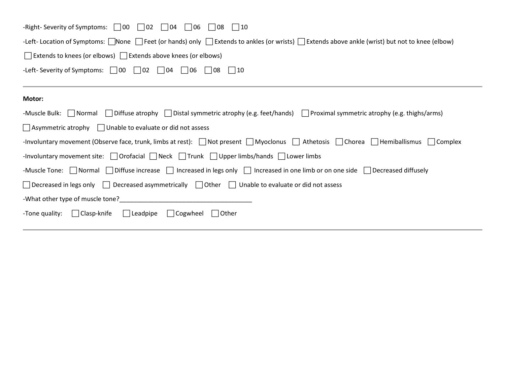| -Right-Severity of Symptoms: $\Box$ 00<br>$\Box$ 02<br>$\Box$ 04<br>$\Box$ 06<br>  08<br>$\vert$   10                                                                               |
|-------------------------------------------------------------------------------------------------------------------------------------------------------------------------------------|
| -Left- Location of Symptoms: None Feet (or hands) only Extends to ankles (or wrists) Extends above ankle (wrist) but not to knee (elbow)                                            |
| $\Box$ Extends to knees (or elbows) $\Box$ Extends above knees (or elbows)                                                                                                          |
| -Left- Severity of Symptoms: $\begin{bmatrix} 00 \\ 02 \end{bmatrix}$ 02 $\begin{bmatrix} 04 \\ 04 \end{bmatrix}$ 06 $\begin{bmatrix} 08 \\ 09 \end{bmatrix}$<br>$\vert$ $\vert$ 10 |
|                                                                                                                                                                                     |
| <b>Motor:</b>                                                                                                                                                                       |
| -Muscle Bulk: Normal Diffuse atrophy Distal symmetric atrophy (e.g. feet/hands) Proximal symmetric atrophy (e.g. thighs/arms)                                                       |
| $\Box$ Asymmetric atrophy $\Box$ Unable to evaluate or did not assess                                                                                                               |
| -Involuntary movement (Observe face, trunk, limbs at rest): $\Box$ Not present $\Box$ Myoclonus $\Box$ Athetosis $\Box$ Chorea $\Box$ Hemiballismus<br>  Complex                    |
| -Involuntary movement site: $\Box$ Orofacial $\Box$ Neck $\Box$ Trunk $\Box$ Upper limbs/hands $\Box$ Lower limbs                                                                   |
| -Muscle Tone: $\Box$ Normal $\Box$ Diffuse increase $\Box$ Increased in legs only $\Box$ Increased in one limb or on one side $\Box$ Decreased diffusely                            |
| $\Box$ Decreased in legs only $\Box$ Decreased asymmetrically $\Box$ Other $\Box$ Unable to evaluate or did not assess                                                              |
| -What other type of muscle tone?                                                                                                                                                    |
| $\Box$ Clasp-knife<br>$\Box$ Leadpipe<br>$\Box$ Other<br>-Tone quality:<br>  Cogwheel                                                                                               |
|                                                                                                                                                                                     |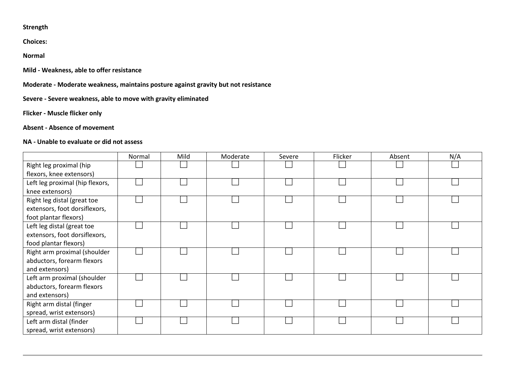#### **Strength**

**Choices:**

**Normal**

**Mild - Weakness, able to offer resistance**

**Moderate - Moderate weakness, maintains posture against gravity but not resistance**

**Severe - Severe weakness, able to move with gravity eliminated**

**Flicker - Muscle flicker only**

**Absent - Absence of movement**

#### **NA - Unable to evaluate or did not assess**

|                                 | Normal | Mild | Moderate | Severe | Flicker | Absent | N/A |
|---------------------------------|--------|------|----------|--------|---------|--------|-----|
| Right leg proximal (hip         |        |      |          |        |         |        |     |
| flexors, knee extensors)        |        |      |          |        |         |        |     |
| Left leg proximal (hip flexors, |        |      |          |        |         |        |     |
| knee extensors)                 |        |      |          |        |         |        |     |
| Right leg distal (great toe     |        |      |          |        |         |        |     |
| extensors, foot dorsiflexors,   |        |      |          |        |         |        |     |
| foot plantar flexors)           |        |      |          |        |         |        |     |
| Left leg distal (great toe      |        |      |          |        |         |        |     |
| extensors, foot dorsiflexors,   |        |      |          |        |         |        |     |
| food plantar flexors)           |        |      |          |        |         |        |     |
| Right arm proximal (shoulder    |        |      |          |        |         |        |     |
| abductors, forearm flexors      |        |      |          |        |         |        |     |
| and extensors)                  |        |      |          |        |         |        |     |
| Left arm proximal (shoulder     |        |      |          |        |         |        |     |
| abductors, forearm flexors      |        |      |          |        |         |        |     |
| and extensors)                  |        |      |          |        |         |        |     |
| Right arm distal (finger        |        |      |          |        |         |        |     |
| spread, wrist extensors)        |        |      |          |        |         |        |     |
| Left arm distal (finder         |        |      |          |        |         |        |     |
| spread, wrist extensors)        |        |      |          |        |         |        |     |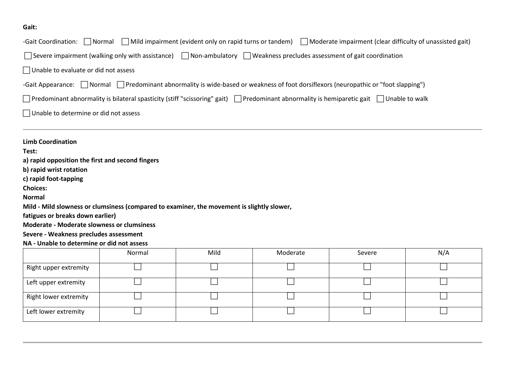### **Gait:**

| -Gait Coordination: Normal                        |                                                                                                                                  |      |          | Mild impairment (evident only on rapid turns or tandem) Moderate impairment (clear difficulty of unassisted gait)                                  |     |
|---------------------------------------------------|----------------------------------------------------------------------------------------------------------------------------------|------|----------|----------------------------------------------------------------------------------------------------------------------------------------------------|-----|
|                                                   | Severe impairment (walking only with assistance) $\Box$ Non-ambulatory $\Box$ Weakness precludes assessment of gait coordination |      |          |                                                                                                                                                    |     |
| $\Box$ Unable to evaluate or did not assess       |                                                                                                                                  |      |          |                                                                                                                                                    |     |
|                                                   |                                                                                                                                  |      |          |                                                                                                                                                    |     |
|                                                   |                                                                                                                                  |      |          | -Gait Appearance: $\Box$ Normal $\Box$ Predominant abnormality is wide-based or weakness of foot dorsiflexors (neuropathic or "foot slapping")     |     |
|                                                   |                                                                                                                                  |      |          | Predominant abnormality is bilateral spasticity (stiff "scissoring" gait) $\Box$ Predominant abnormality is hemiparetic gait $\Box$ Unable to walk |     |
| $\Box$ Unable to determine or did not assess      |                                                                                                                                  |      |          |                                                                                                                                                    |     |
| <b>Limb Coordination</b>                          |                                                                                                                                  |      |          |                                                                                                                                                    |     |
| Test:                                             |                                                                                                                                  |      |          |                                                                                                                                                    |     |
| a) rapid opposition the first and second fingers  |                                                                                                                                  |      |          |                                                                                                                                                    |     |
| b) rapid wrist rotation                           |                                                                                                                                  |      |          |                                                                                                                                                    |     |
| c) rapid foot-tapping                             |                                                                                                                                  |      |          |                                                                                                                                                    |     |
| <b>Choices:</b>                                   |                                                                                                                                  |      |          |                                                                                                                                                    |     |
| <b>Normal</b>                                     |                                                                                                                                  |      |          |                                                                                                                                                    |     |
|                                                   | Mild - Mild slowness or clumsiness (compared to examiner, the movement is slightly slower,                                       |      |          |                                                                                                                                                    |     |
| fatigues or breaks down earlier)                  |                                                                                                                                  |      |          |                                                                                                                                                    |     |
| <b>Moderate - Moderate slowness or clumsiness</b> |                                                                                                                                  |      |          |                                                                                                                                                    |     |
| Severe - Weakness precludes assessment            |                                                                                                                                  |      |          |                                                                                                                                                    |     |
| NA - Unable to determine or did not assess        |                                                                                                                                  |      |          |                                                                                                                                                    |     |
|                                                   | Normal                                                                                                                           | Mild | Moderate | Severe                                                                                                                                             | N/A |
| Right upper extremity                             |                                                                                                                                  |      |          |                                                                                                                                                    |     |
| Left upper extremity                              |                                                                                                                                  |      |          |                                                                                                                                                    |     |
| Right lower extremity                             |                                                                                                                                  |      |          |                                                                                                                                                    |     |

Left lower extremity and the contract of the contract of the contract of the contract of the contract of the contract of the contract of the contract of the contract of the contract of the contract of the contract of the c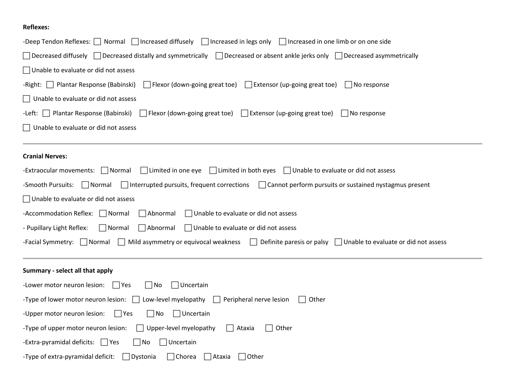### **Reflexes:**

| -Deep Tendon Reflexes: $\Box$ Normal $\Box$ Increased diffusely $\Box$ Increased in legs only $\Box$ Increased in one limb or on one side                   |
|-------------------------------------------------------------------------------------------------------------------------------------------------------------|
| Decreased diffusely $\Box$ Decreased distally and symmetrically $\Box$ Decreased or absent ankle jerks only $\Box$ Decreased asymmetrically                 |
| $\Box$ Unable to evaluate or did not assess                                                                                                                 |
| -Right:   Plantar Response (Babinski)<br>$\Box$ Flexor (down-going great toe) $\Box$ Extensor (up-going great toe)<br>$\Box$ No response                    |
| $\Box$ Unable to evaluate or did not assess                                                                                                                 |
| -Left: $\Box$ Plantar Response (Babinski)<br>$\exists$ Flexor (down-going great toe) $\Box$ Extensor (up-going great toe)<br>$\Box$ No response             |
| $\Box$ Unable to evaluate or did not assess                                                                                                                 |
|                                                                                                                                                             |
| <b>Cranial Nerves:</b>                                                                                                                                      |
| $\Box$ Limited in one eye $\Box$ Limited in both eyes $\Box$ Unable to evaluate or did not assess<br>-Extraocular movements: Normal                         |
| $\Box$ Interrupted pursuits, frequent corrections $\Box$ Cannot perform pursuits or sustained nystagmus present<br>-Smooth Pursuits:<br>$\Box$ Normal       |
| $\Box$ Unable to evaluate or did not assess                                                                                                                 |
| -Accommodation Reflex: Normal<br>$\Box$ Unable to evaluate or did not assess<br>Abnormal                                                                    |
| $\Box$ Normal<br>Abnormal<br>$\Box$ Unable to evaluate or did not assess<br>- Pupillary Light Reflex:                                                       |
| -Facial Symmetry: $\Box$ Normal<br>$\Box$ Mild asymmetry or equivocal weakness $\Box$ Definite paresis or palsy $\Box$ Unable to evaluate or did not assess |
|                                                                                                                                                             |
| Summary - select all that apply                                                                                                                             |
| -Lower motor neuron lesion: $\Box$ Yes<br>$\Box$ Uncertain<br>$\Box$ No                                                                                     |
| Low-level myelopathy $\Box$<br>-Type of lower motor neuron lesion:<br>Peripheral nerve lesion<br>Other                                                      |
| -Upper motor neuron lesion:<br>$\neg$ No<br>$\Box$ Uncertain<br>$\Box$ Yes                                                                                  |
| -Type of upper motor neuron lesion:<br>$\Box$ Upper-level myelopathy<br>Ataxia<br>Other                                                                     |
| -Extra-pyramidal deficits: $\Box$ Yes<br>$\Box$ No<br>Uncertain                                                                                             |
| -Type of extra-pyramidal deficit:<br>$\Box$ Chorea<br>Dystonia<br>Ataxia<br>Other                                                                           |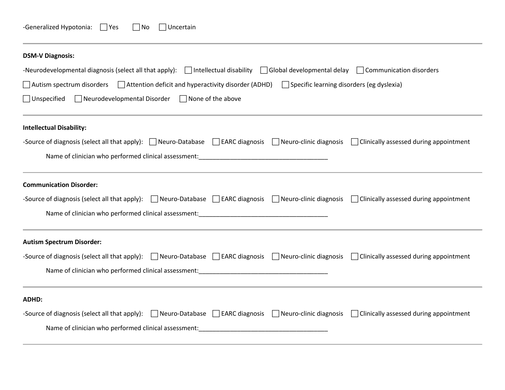| -Generalized Hypotonia: | 7 Yes | $\Box$ No | $\Box$ Uncertain |
|-------------------------|-------|-----------|------------------|
|-------------------------|-------|-----------|------------------|

| <b>DSM-V Diagnosis:</b>                                                                                                                                               |
|-----------------------------------------------------------------------------------------------------------------------------------------------------------------------|
| -Neurodevelopmental diagnosis (select all that apply): $\Box$ Intellectual disability $\Box$ Global developmental delay $\Box$ Communication disorders                |
| Autism spectrum disorders $\Box$ Attention deficit and hyperactivity disorder (ADHD) $\Box$ Specific learning disorders (eg dyslexia)                                 |
| $\Box$ Neurodevelopmental Disorder $\Box$ None of the above<br>$\Box$ Unspecified                                                                                     |
| <b>Intellectual Disability:</b>                                                                                                                                       |
| -Source of diagnosis (select all that apply): $\Box$ Neuro-Database $\Box$ EARC diagnosis $\Box$ Neuro-clinic diagnosis $\Box$ Clinically assessed during appointment |
|                                                                                                                                                                       |
| <b>Communication Disorder:</b>                                                                                                                                        |
| -Source of diagnosis (select all that apply): Neuro-Database LEARC diagnosis Neuro-clinic diagnosis Clinically assessed during appointment                            |
|                                                                                                                                                                       |
| <b>Autism Spectrum Disorder:</b>                                                                                                                                      |
| -Source of diagnosis (select all that apply): $\Box$ Neuro-Database $\Box$ EARC diagnosis $\Box$ Neuro-clinic diagnosis $\Box$ Clinically assessed during appointment |
|                                                                                                                                                                       |
| <b>ADHD:</b>                                                                                                                                                          |
| -Source of diagnosis (select all that apply): $\Box$ Neuro-Database $\Box$ EARC diagnosis $\Box$ Neuro-clinic diagnosis $\Box$ Clinically assessed during appointment |
| Name of clinician who performed clinical assessment: Name of clinical assessment:                                                                                     |